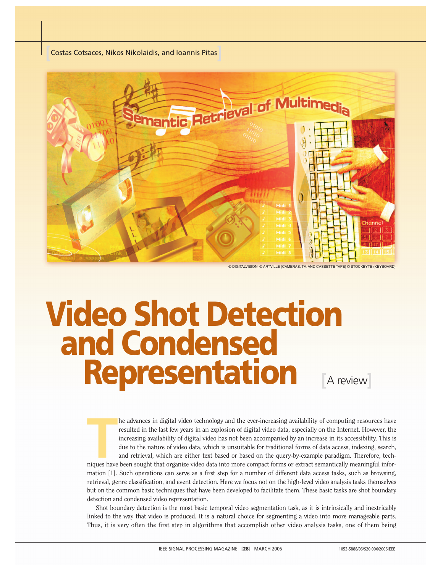**[**Costas Cotsaces, Nikos Nikolaidis, and Ioannis Pitas**]**



© DIGITALVISION, © ARTVILLE (CAMERAS, TV, AND CASSETTE TAPE) © STOCKBYTE (KEYBOARD)

# **Video Shot Detection and Condensed Representation [**A review**]**

**T** niques have been sought that organize video data into more compact forms or extract semantically meaningful inforhe advances in digital video technology and the ever-increasing availability of computing resources have resulted in the last few years in an explosion of digital video data, especially on the Internet. However, the increasing availability of digital video has not been accompanied by an increase in its accessibility. This is due to the nature of video data, which is unsuitable for traditional forms of data access, indexing, search, and retrieval, which are either text based or based on the query-by-example paradigm. Therefore, techmation [1]. Such operations can serve as a first step for a number of different data access tasks, such as browsing, retrieval, genre classification, and event detection. Here we focus not on the high-level video analysis tasks themselves but on the common basic techniques that have been developed to facilitate them. These basic tasks are shot boundary detection and condensed video representation.

Shot boundary detection is the most basic temporal video segmentation task, as it is intrinsically and inextricably linked to the way that video is produced. It is a natural choice for segmenting a video into more manageable parts. Thus, it is very often the first step in algorithms that accomplish other video analysis tasks, one of them being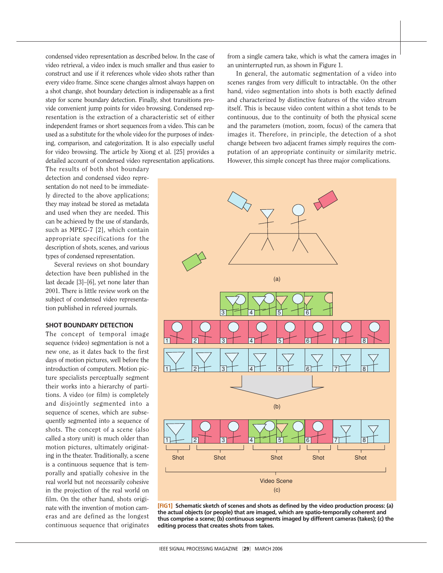condensed video representation as described below. In the case of video retrieval, a video index is much smaller and thus easier to construct and use if it references whole video shots rather than every video frame. Since scene changes almost always happen on a shot change, shot boundary detection is indispensable as a first step for scene boundary detection. Finally, shot transitions provide convenient jump points for video browsing. Condensed representation is the extraction of a characteristic set of either independent frames or short sequences from a video. This can be used as a substitute for the whole video for the purposes of indexing, comparison, and categorization. It is also especially useful for video browsing. The article by Xiong et al. [25] provides a detailed account of condensed video representation applications.

The results of both shot boundary detection and condensed video representation do not need to be immediately directed to the above applications; they may instead be stored as metadata and used when they are needed. This can be achieved by the use of standards, such as MPEG-7 [2], which contain appropriate specifications for the description of shots, scenes, and various types of condensed representation.

Several reviews on shot boundary detection have been published in the last decade [3]–[6], yet none later than 2001. There is little review work on the subject of condensed video representation published in refereed journals.

#### **SHOT BOUNDARY DETECTION**

The concept of temporal image sequence (video) segmentation is not a new one, as it dates back to the first days of motion pictures, well before the introduction of computers. Motion picture specialists perceptually segment their works into a hierarchy of partitions. A video (or film) is completely and disjointly segmented into a sequence of scenes, which are subsequently segmented into a sequence of shots. The concept of a scene (also called a story unit) is much older than motion pictures, ultimately originating in the theater. Traditionally, a scene is a continuous sequence that is temporally and spatially cohesive in the real world but not necessarily cohesive in the projection of the real world on film. On the other hand, shots originate with the invention of motion cameras and are defined as the longest continuous sequence that originates from a single camera take, which is what the camera images in an uninterrupted run, as shown in Figure 1.

In general, the automatic segmentation of a video into scenes ranges from very difficult to intractable. On the other hand, video segmentation into shots is both exactly defined and characterized by distinctive features of the video stream itself. This is because video content within a shot tends to be continuous, due to the continuity of both the physical scene and the parameters (motion, zoom, focus) of the camera that images it. Therefore, in principle, the detection of a shot change between two adjacent frames simply requires the computation of an appropriate continuity or similarity metric. However, this simple concept has three major complications.



**[FIG1] Schematic sketch of scenes and shots as defined by the video production process: (a) the actual objects (or people) that are imaged, which are spatio-temporally coherent and thus comprise a scene; (b) continuous segments imaged by different cameras (takes); (c) the editing process that creates shots from takes.**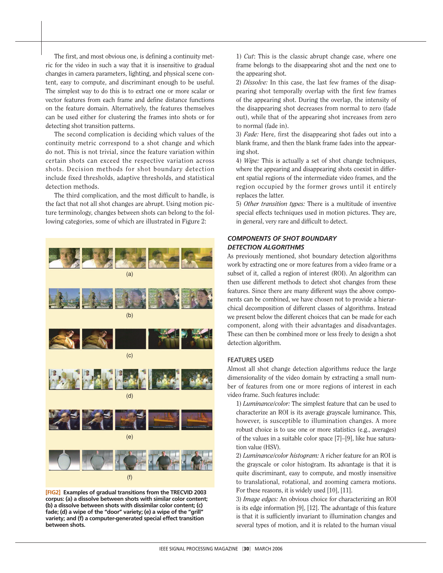The first, and most obvious one, is defining a continuity metric for the video in such a way that it is insensitive to gradual changes in camera parameters, lighting, and physical scene content, easy to compute, and discriminant enough to be useful. The simplest way to do this is to extract one or more scalar or vector features from each frame and define distance functions on the feature domain. Alternatively, the features themselves can be used either for clustering the frames into shots or for detecting shot transition patterns.

The second complication is deciding which values of the continuity metric correspond to a shot change and which do not. This is not trivial, since the feature variation within certain shots can exceed the respective variation across shots. Decision methods for shot boundary detection include fixed thresholds, adaptive thresholds, and statistical detection methods.

The third complication, and the most difficult to handle, is the fact that not all shot changes are abrupt. Using motion picture terminology, changes between shots can belong to the following categories, some of which are illustrated in Figure 2:



**[FIG2] Examples of gradual transitions from the TRECVID 2003 corpus: (a) a dissolve between shots with similar color content; (b) a dissolve between shots with dissimilar color content; (c) fade; (d) a wipe of the "door'' variety; (e) a wipe of the "grill'' variety; and (f) a computer-generated special effect transition between shots.**

1) *Cut*: This is the classic abrupt change case, where one frame belongs to the disappearing shot and the next one to the appearing shot.

2) *Dissolve:* In this case, the last few frames of the disappearing shot temporally overlap with the first few frames of the appearing shot. During the overlap, the intensity of the disappearing shot decreases from normal to zero (fade out), while that of the appearing shot increases from zero to normal (fade in).

3) *Fade:* Here, first the disappearing shot fades out into a blank frame, and then the blank frame fades into the appearing shot.

4) *Wipe:* This is actually a set of shot change techniques, where the appearing and disappearing shots coexist in different spatial regions of the intermediate video frames, and the region occupied by the former grows until it entirely replaces the latter.

5) *Other transition types:* There is a multitude of inventive special effects techniques used in motion pictures. They are, in general, very rare and difficult to detect.

## *COMPONENTS OF SHOT BOUNDARY DETECTION ALGORITHMS*

As previously mentioned, shot boundary detection algorithms work by extracting one or more features from a video frame or a subset of it, called a region of interest (ROI). An algorithm can then use different methods to detect shot changes from these features. Since there are many different ways the above components can be combined, we have chosen not to provide a hierarchical decomposition of different classes of algorithms. Instead we present below the different choices that can be made for each component, along with their advantages and disadvantages. These can then be combined more or less freely to design a shot detection algorithm.

### FEATURES USED

Almost all shot change detection algorithms reduce the large dimensionality of the video domain by extracting a small number of features from one or more regions of interest in each video frame. Such features include:

1) *Luminance/color:* The simplest feature that can be used to characterize an ROI is its average grayscale luminance. This, however, is susceptible to illumination changes. A more robust choice is to use one or more statistics (e.g., averages) of the values in a suitable color space [7]–[9], like hue saturation value (HSV).

2) *Luminance/color histogram:* A richer feature for an ROI is the grayscale or color histogram. Its advantage is that it is quite discriminant, easy to compute, and mostly insensitive to translational, rotational, and zooming camera motions. For these reasons, it is widely used [10], [11].

3) *Image edges:* An obvious choice for characterizing an ROI is its edge information [9], [12]. The advantage of this feature is that it is sufficiently invariant to illumination changes and several types of motion, and it is related to the human visual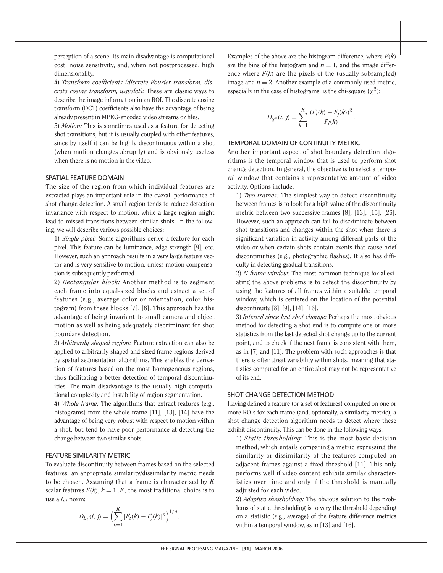perception of a scene. Its main disadvantage is computational cost, noise sensitivity, and, when not postprocessed, high dimensionality.

4) *Transform coefficients (discrete Fourier transform, discrete cosine transform, wavelet):* These are classic ways to describe the image information in an ROI. The discrete cosine transform (DCT) coefficients also have the advantage of being already present in MPEG-encoded video streams or files.

5) *Motion:* This is sometimes used as a feature for detecting shot transitions, but it is usually coupled with other features, since by itself it can be highly discontinuous within a shot (when motion changes abruptly) and is obviously useless when there is no motion in the video.

#### SPATIAL FEATURE DOMAIN

The size of the region from which individual features are extracted plays an important role in the overall performance of shot change detection. A small region tends to reduce detection invariance with respect to motion, while a large region might lead to missed transitions between similar shots. In the following, we will describe various possible choices:

1) *Single pixel:* Some algorithms derive a feature for each pixel. This feature can be luminance, edge strength [9], etc. However, such an approach results in a very large feature vector and is very sensitive to motion, unless motion compensation is subsequently performed.

2) *Rectangular block:* Another method is to segment each frame into equal-sized blocks and extract a set of features (e.g., average color or orientation, color histogram) from these blocks [7], [8]. This approach has the advantage of being invariant to small camera and object motion as well as being adequately discriminant for shot boundary detection.

3) *Arbitrarily shaped region:* Feature extraction can also be applied to arbitrarily shaped and sized frame regions derived by spatial segmentation algorithms. This enables the derivation of features based on the most homogeneous regions, thus facilitating a better detection of temporal discontinuities. The main disadvantage is the usually high computational complexity and instability of region segmentation.

4) *Whole frame:* The algorithms that extract features (e.g., histograms) from the whole frame [11], [13], [14] have the advantage of being very robust with respect to motion within a shot, but tend to have poor performance at detecting the change between two similar shots.

#### FEATURE SIMILARITY METRIC

To evaluate discontinuity between frames based on the selected features, an appropriate similarity/dissimilarity metric needs to be chosen. Assuming that a frame is characterized by *K* scalar features  $F(k)$ ,  $k = 1..K$ , the most traditional choice is to use a *Ln* norm:

$$
D_{L_n}(i, j) = \left(\sum_{k=1}^K |F_i(k) - F_j(k)|^n\right)^{1/n}
$$

Examples of the above are the histogram difference, where  $F(k)$ are the bins of the histogram and  $n = 1$ , and the image difference where  $F(k)$  are the pixels of the (usually subsampled) image and  $n = 2$ . Another example of a commonly used metric, especially in the case of histograms, is the chi-square  $(\chi^2)$ :

$$
D_{\chi^2}(i, j) = \sum_{k=1}^K \frac{(F_i(k) - F_j(k))^2}{F_i(k)}.
$$

#### TEMPORAL DOMAIN OF CONTINUITY METRIC

Another important aspect of shot boundary detection algorithms is the temporal window that is used to perform shot change detection. In general, the objective is to select a temporal window that contains a representative amount of video activity. Options include:

1) *Two frames:* The simplest way to detect discontinuity between frames is to look for a high value of the discontinuity metric between two successive frames [8], [13], [15], [26]. However, such an approach can fail to discriminate between shot transitions and changes within the shot when there is significant variation in activity among different parts of the video or when certain shots contain events that cause brief discontinuities (e.g., photographic flashes). It also has difficulty in detecting gradual transitions.

2) *N-frame window:* The most common technique for alleviating the above problems is to detect the discontinuity by using the features of all frames within a suitable temporal window, which is centered on the location of the potential discontinuity [8], [9], [14], [16].

3) *Interval since last shot change:* Perhaps the most obvious method for detecting a shot end is to compute one or more statistics from the last detected shot change up to the current point, and to check if the next frame is consistent with them, as in [7] and [11]. The problem with such approaches is that there is often great variability within shots, meaning that statistics computed for an entire shot may not be representative of its end.

#### SHOT CHANGE DETECTION METHOD

Having defined a feature (or a set of features) computed on one or more ROIs for each frame (and, optionally, a similarity metric), a shot change detection algorithm needs to detect where these exhibit discontinuity. This can be done in the following ways:

1) *Static thresholding:* This is the most basic decision method, which entails comparing a metric expressing the similarity or dissimilarity of the features computed on adjacent frames against a fixed threshold [11]. This only performs well if video content exhibits similar characteristics over time and only if the threshold is manually adjusted for each video.

2) *Adaptive thresholding:* The obvious solution to the problems of static thresholding is to vary the threshold depending on a statistic (e.g., average) of the feature difference metrics within a temporal window, as in [13] and [16].

.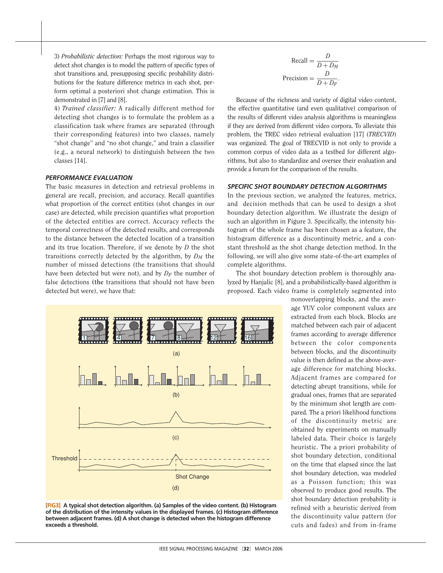3) *Probabilistic detection:* Perhaps the most rigorous way to detect shot changes is to model the pattern of specific types of shot transitions and, presupposing specific probability distributions for the feature difference metrics in each shot, perform optimal a posteriori shot change estimation. This is demonstrated in [7] and [8].

4) *Trained classifier:* A radically different method for detecting shot changes is to formulate the problem as a classification task where frames are separated (through their corresponding features) into two classes, namely "shot change'' and "no shot change,'' and train a classifier (e.g., a neural network) to distinguish between the two classes [14].

#### *PERFORMANCE EVALUATION*

The basic measures in detection and retrieval problems in general are recall, precision, and accuracy. Recall quantifies what proportion of the correct entities (shot changes in our case) are detected, while precision quantifies what proportion of the detected entities are correct. Accuracy reflects the temporal correctness of the detected results, and corresponds to the distance between the detected location of a transition and its true location. Therefore, if we denote by *D* the shot transitions correctly detected by the algorithm, by *DM* the number of missed detections (the transitions that should have been detected but were not), and by  $D_F$  the number of false detections **(the** transitions that should not have been detected but were), we have that:



**[FIG3] A typical shot detection algorithm. (a) Samples of the video content. (b) Histogram of the distribution of the intensity values in the displayed frames. (c) Histogram difference between adjacent frames. (d) A shot change is detected when the histogram difference exceeds a threshold.**

Recall = 
$$
\frac{D}{D + D_M}
$$
  
Precision = 
$$
\frac{D}{D + D_F}.
$$

Because of the richness and variety of digital video content, the effective quantitative (and even qualitative) comparison of the results of different video analysis algorithms is meaningless if they are derived from different video corpora. To alleviate this problem, the TREC video retrieval evaluation [17] (*TRECVID*) was organized. The goal of TRECVID is not only to provide a common corpus of video data as a testbed for different algorithms, but also to standardize and oversee their evaluation and provide a forum for the comparison of the results.

#### *SPECIFIC SHOT BOUNDARY DETECTION ALGORITHMS*

In the previous section, we analyzed the features, metrics, and decision methods that can be used to design a shot boundary detection algorithm. We illustrate the design of such an algorithm in Figure 3. Specifically, the intensity histogram of the whole frame has been chosen as a feature, the histogram difference as a discontinuity metric, and a constant threshold as the shot change detection method. In the following, we will also give some state-of-the-art examples of complete algorithms.

The shot boundary detection problem is thoroughly analyzed by Hanjalic [8], and a probabilistically-based algorithm is proposed. Each video frame is completely segmented into

> nonoverlapping blocks, and the average YUV color component values are extracted from each block. Blocks are matched between each pair of adjacent frames according to average difference between the color components between blocks, and the discontinuity value is then defined as the above-average difference for matching blocks. Adjacent frames are compared for detecting abrupt transitions, while for gradual ones, frames that are separated by the minimum shot length are compared. The a priori likelihood functions of the discontinuity metric are obtained by experiments on manually labeled data. Their choice is largely heuristic. The a priori probability of shot boundary detection, conditional on the time that elapsed since the last shot boundary detection, was modeled as a Poisson function; this was observed to produce good results. The shot boundary detection probability is refined with a heuristic derived from the discontinuity value pattern (for cuts and fades) and from in-frame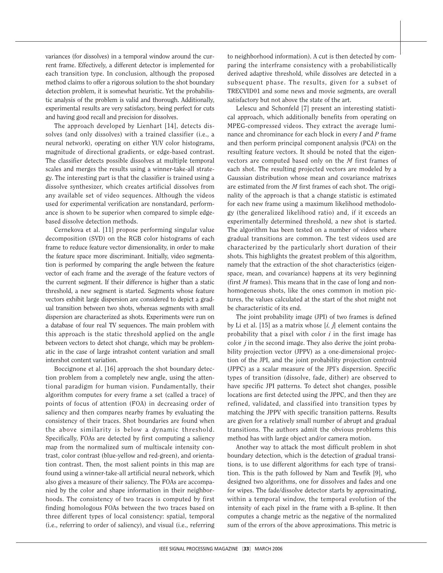variances (for dissolves) in a temporal window around the current frame. Effectively, a different detector is implemented for each transition type. In conclusion, although the proposed method claims to offer a rigorous solution to the shot boundary detection problem, it is somewhat heuristic. Yet the probabilistic analysis of the problem is valid and thorough. Additionally, experimental results are very satisfactory, being perfect for cuts and having good recall and precision for dissolves.

The approach developed by Lienhart [14], detects dissolves (and only dissolves) with a trained classifier (i.e., a neural network), operating on either YUV color histograms, magnitude of directional gradients, or edge-based contrast. The classifier detects possible dissolves at multiple temporal scales and merges the results using a winner-take-all strategy. The interesting part is that the classifier is trained using a dissolve synthesizer, which creates artificial dissolves from any available set of video sequences. Although the videos used for experimental verification are nonstandard, performance is shown to be superior when compared to simple edgebased dissolve detection methods.

Cernekova et al. [11] propose performing singular value decomposition (SVD) on the RGB color histograms of each frame to reduce feature vector dimensionality, in order to make the feature space more discriminant. Initially, video segmentation is performed by comparing the angle between the feature vector of each frame and the average of the feature vectors of the current segment. If their difference is higher than a static threshold, a new segment is started. Segments whose feature vectors exhibit large dispersion are considered to depict a gradual transition between two shots, whereas segments with small dispersion are characterized as shots. Experiments were run on a database of four real TV sequences. The main problem with this approach is the static threshold applied on the angle between vectors to detect shot change, which may be problematic in the case of large intrashot content variation and small intershot content variation.

Boccignone et al. [16] approach the shot boundary detection problem from a completely new angle, using the attentional paradigm for human vision. Fundamentally, their algorithm computes for every frame a set (called a trace) of points of focus of attention (FOA) in decreasing order of saliency and then compares nearby frames by evaluating the consistency of their traces. Shot boundaries are found when the above similarity is below a dynamic threshold. Specifically, FOAs are detected by first computing a saliency map from the normalized sum of multiscale intensity contrast, color contrast (blue-yellow and red-green), and orientation contrast. Then, the most salient points in this map are found using a winner-take-all artificial neural network, which also gives a measure of their saliency. The FOAs are accompanied by the color and shape information in their neighborhoods. The consistency of two traces is computed by first finding homologous FOAs between the two traces based on three different types of local consistency: spatial, temporal (i.e., referring to order of saliency), and visual (i.e., referring to neighborhood information). A cut is then detected by comparing the interframe consistency with a probabilistically derived adaptive threshold, while dissolves are detected in a subsequent phase. The results, given for a subset of TRECVID01 and some news and movie segments, are overall satisfactory but not above the state of the art.

Lelescu and Schonfeld [7] present an interesting statistical approach, which additionally benefits from operating on MPEG-compressed videos. They extract the average luminance and chrominance for each block in every *I* and *P* frame and then perform principal component analysis (PCA) on the resulting feature vectors. It should be noted that the eigenvectors are computed based only on the *M* first frames of each shot. The resulting projected vectors are modeled by a Gaussian distribution whose mean and covariance matrixes are estimated from the *M* first frames of each shot. The originality of the approach is that a change statistic is estimated for each new frame using a maximum likelihood methodology (the generalized likelihood ratio) and, if it exceeds an experimentally determined threshold, a new shot is started. The algorithm has been tested on a number of videos where gradual transitions are common. The test videos used are characterized by the particularly short duration of their shots. This highlights the greatest problem of this algorithm, namely that the extraction of the shot characteristics (eigenspace, mean, and covariance) happens at its very beginning (first *M* frames). This means that in the case of long and nonhomogeneous shots, like the ones common in motion pictures, the values calculated at the start of the shot might not be characteristic of its end.

The joint probability image (JPI) of two frames is defined by Li et al. [15] as a matrix whose [*i*, *j*] element contains the probability that a pixel with color *i* in the first image has color *j* in the second image. They also derive the joint probability projection vector (JPPV) as a one-dimensional projection of the JPI, and the joint probability projection centroid (JPPC) as a scalar measure of the JPI's dispersion. Specific types of transition (dissolve, fade, dither) are observed to have specific JPI patterns. To detect shot changes, possible locations are first detected using the JPPC, and then they are refined, validated, and classified into transition types by matching the JPPV with specific transition patterns. Results are given for a relatively small number of abrupt and gradual transitions. The authors admit the obvious problems this method has with large object and/or camera motion.

Another way to attack the most difficult problem in shot boundary detection, which is the detection of gradual transitions, is to use different algorithms for each type of transition. This is the path followed by Nam and Tewfik [9], who designed two algorithms, one for dissolves and fades and one for wipes. The fade/dissolve detector starts by approximating, within a temporal window, the temporal evolution of the intensity of each pixel in the frame with a B-spline. It then computes a change metric as the negative of the normalized sum of the errors of the above approximations. This metric is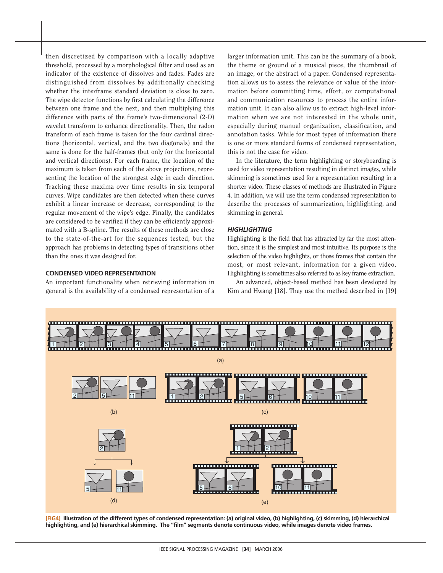then discretized by comparison with a locally adaptive threshold, processed by a morphological filter and used as an indicator of the existence of dissolves and fades. Fades are distinguished from dissolves by additionally checking whether the interframe standard deviation is close to zero. The wipe detector functions by first calculating the difference between one frame and the next, and then multiplying this difference with parts of the frame's two-dimensional (2-D) wavelet transform to enhance directionality. Then, the radon transform of each frame is taken for the four cardinal directions (horizontal, vertical, and the two diagonals) and the same is done for the half-frames (but only for the horizontal and vertical directions). For each frame, the location of the maximum is taken from each of the above projections, representing the location of the strongest edge in each direction. Tracking these maxima over time results in six temporal curves. Wipe candidates are then detected when these curves exhibit a linear increase or decrease, corresponding to the regular movement of the wipe's edge. Finally, the candidates are considered to be verified if they can be efficiently approximated with a B-spline. The results of these methods are close to the state-of-the-art for the sequences tested, but the approach has problems in detecting types of transitions other than the ones it was designed for.

#### **CONDENSED VIDEO REPRESENTATION**

An important functionality when retrieving information in general is the availability of a condensed representation of a larger information unit. This can be the summary of a book, the theme or ground of a musical piece, the thumbnail of an image, or the abstract of a paper. Condensed representation allows us to assess the relevance or value of the information before committing time, effort, or computational and communication resources to process the entire information unit. It can also allow us to extract high-level information when we are not interested in the whole unit, especially during manual organization, classification, and annotation tasks. While for most types of information there is one or more standard forms of condensed representation, this is not the case for video.

In the literature, the term highlighting or storyboarding is used for video representation resulting in distinct images, while skimming is sometimes used for a representation resulting in a shorter video. These classes of methods are illustrated in Figure 4. In addition, we will use the term condensed representation to describe the processes of summarization, highlighting, and skimming in general.

### *HIGHLIGHTING*

Highlighting is the field that has attracted by far the most attention, since it is the simplest and most intuitive. Its purpose is the selection of the video highlights, or those frames that contain the most, or most relevant, information for a given video. Highlighting is sometimes also referred to as key frame extraction.

An advanced, object-based method has been developed by Kim and Hwang [18]. They use the method described in [19]



**[FIG4] Illustration of the different types of condensed representation: (a) original video, (b) highlighting, (c) skimming, (d) hierarchical highlighting, and (e) hierarchical skimming. The "film'' segments denote continuous video, while images denote video frames.**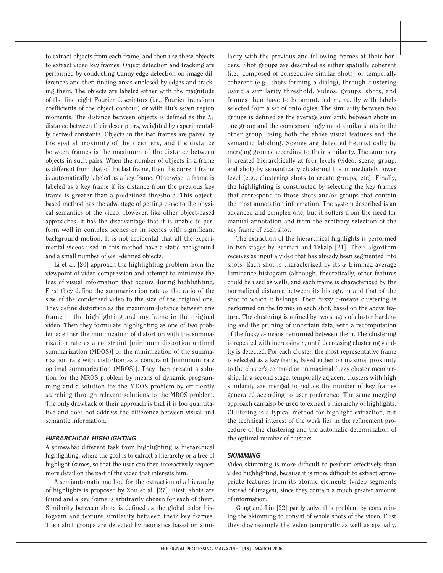to extract objects from each frame, and then use these objects to extract video key frames. Object detection and tracking are performed by conducting Canny edge detection on image differences and then finding areas enclosed by edges and tracking them. The objects are labeled either with the magnitude of the first eight Fourier descriptors (i.e., Fourier transform coefficients of the object contour) or with Hu's seven region moments. The distance between objects is defined as the *L*<sup>1</sup> distance between their descriptors, weighted by experimentally derived constants. Objects in the two frames are paired by the spatial proximity of their centers, and the distance between frames is the maximum of the distance between objects in such pairs. When the number of objects in a frame is different from that of the last frame, then the current frame is automatically labeled as a key frame. Otherwise, a frame is labeled as a key frame if its distance from the previous key frame is greater than a predefined threshold. This objectbased method has the advantage of getting close to the physical semantics of the video. However, like other object-based approaches, it has the disadvantage that it is unable to perform well in complex scenes or in scenes with significant background motion. It is not accidental that all the experimental videos used in this method have a static background and a small number of well-defined objects.

Li et al. [20] approach the highlighting problem from the viewpoint of video compression and attempt to minimize the loss of visual information that occurs during highlighting. First they define the summarization rate as the ratio of the size of the condensed video to the size of the original one. They define distortion as the maximum distance between any frame in the highlighting and any frame in the original video. Then they formulate highlighting as one of two problems: either the minimization of distortion with the summarization rate as a constraint [minimum distortion optimal summarization (MDOS)] or the minimization of the summarization rate with distortion as a constraint [minimum rate optimal summarization (MROS)]. They then present a solution for the MROS problem by means of dynamic programming and a solution for the MDOS problem by efficiently searching through relevant solutions to the MROS problem. The only drawback of their approach is that it is too quantitative and does not address the difference between visual and semantic information.

## *HIERARCHICAL HIGHLIGHTING*

A somewhat different task from highlighting is hierarchical highlighting, where the goal is to extract a hierarchy or a tree of highlight frames, so that the user can then interactively request more detail on the part of the video that interests him.

A semiautomatic method for the extraction of a hierarchy of highlights is proposed by Zhu et al. [27]. First, shots are found and a key frame is arbitrarily chosen for each of them. Similarity between shots is defined as the global color histogram and texture similarity between their key frames. Then shot groups are detected by heuristics based on similarity with the previous and following frames at their borders. Shot groups are described as either spatially coherent (i.e., composed of consecutive similar shots) or temporally coherent (e.g., shots forming a dialog), through clustering using a similarity threshold. Videos, groups, shots, and frames then have to be annotated manually with labels selected from a set of ontologies. The similarity between two groups is defined as the average similarity between shots in one group and the correspondingly most similar shots in the other group, using both the above visual features and the semantic labeling. Scenes are detected heuristically by merging groups according to their similarity. The summary is created hierarchically at four levels (video, scene, group, and shot) by semantically clustering the immediately lower level (e.g., clustering shots to create groups, etc). Finally, the highlighting is constructed by selecting the key frames that correspond to those shots and/or groups that contain the most annotation information. The system described is an advanced and complex one, but it suffers from the need for manual annotation and from the arbitrary selection of the key frame of each shot.

The extraction of the hierarchical highlights is performed in two stages by Ferman and Tekalp [21]. Their algorithm receives as input a video that has already been segmented into shots. Each shot is characterized by its  $\alpha$ -trimmed average luminance histogram (although, theoretically, other features could be used as well), and each frame is characterized by the normalized distance between its histogram and that of the shot to which it belongs. Then fuzzy *c*-means clustering is performed on the frames in each shot, based on the above feature. The clustering is refined by two stages of cluster hardening and the pruning of uncertain data, with a recomputation of the fuzzy *c*-means performed between them. The clustering is repeated with increasing *c*, until decreasing clustering validity is detected. For each cluster, the most representative frame is selected as a key frame, based either on maximal proximity to the cluster's centroid or on maximal fuzzy cluster membership. In a second stage, temporally adjacent clusters with high similarity are merged to reduce the number of key frames generated according to user preference. The same merging approach can also be used to extract a hierarchy of highlights. Clustering is a typical method for highlight extraction, but the technical interest of the work lies in the refinement procedure of the clustering and the automatic determination of the optimal number of clusters.

## *SKIMMING*

Video skimming is more difficult to perform effectively than video highlighting, because it is more difficult to extract appropriate features from its atomic elements (video segments instead of images), since they contain a much greater amount of information.

Gong and Liu [22] partly solve this problem by constraining the skimming to consist of whole shots of the video. First they down-sample the video temporally as well as spatially.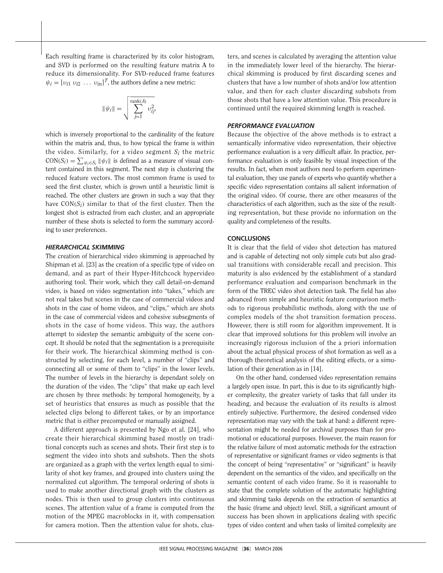Each resulting frame is characterized by its color histogram, and SVD is performed on the resulting feature matrix **A** to reduce its dimensionality. For SVD-reduced frame features  $\psi_i = [v_{i1} v_{i2} \dots v_{in}]^T$ , the authors define a new metric:

$$
\|\psi_i\| = \sqrt{\sum_{j=1}^{\text{rank}(A)} \upsilon_{ij}^2},
$$

which is inversely proportional to the cardinality of the feature within the matrix and, thus, to how typical the frame is within the video. Similarly, for a video segment  $S_i$  the metric  $CON(S_i) = \sum_{\psi_i \in S_i} ||\psi_i||$  is defined as a measure of visual content contained in this segment. The next step is clustering the reduced feature vectors. The most common frame is used to seed the first cluster, which is grown until a heuristic limit is reached. The other clusters are grown in such a way that they have CON(*Si*) similar to that of the first cluster. Then the longest shot is extracted from each cluster, and an appropriate number of these shots is selected to form the summary according to user preferences.

### *HIERARCHICAL SKIMMING*

The creation of hierarchical video skimming is approached by Shipman et al. [23] as the creation of a specific type of video on demand, and as part of their Hyper-Hitchcock hypervideo authoring tool. Their work, which they call detail-on-demand video, is based on video segmentation into "takes,'' which are not real takes but scenes in the case of commercial videos and shots in the case of home videos, and "clips," which are shots in the case of commercial videos and cohesive subsegments of shots in the case of home videos. This way, the authors attempt to sidestep the semantic ambiguity of the scene concept. It should be noted that the segmentation is a prerequisite for their work. The hierarchical skimming method is constructed by selecting, for each level, a number of "clips" and connecting all or some of them to "clips" in the lower levels. The number of levels in the hierarchy is dependant solely on the duration of the video. The "clips'' that make up each level are chosen by three methods: by temporal homogeneity, by a set of heuristics that ensures as much as possible that the selected clips belong to different takes, or by an importance metric that is either precomputed or manually assigned.

A different approach is presented by Ngo et al. [24], who create their hierarchical skimming based mostly on traditional concepts such as scenes and shots. Their first step is to segment the video into shots and subshots. Then the shots are organized as a graph with the vertex length equal to similarity of shot key frames, and grouped into clusters using the normalized cut algorithm. The temporal ordering of shots is used to make another directional graph with the clusters as nodes. This is then used to group clusters into continuous scenes. The attention value of a frame is computed from the motion of the MPEG macroblocks in it, with compensation for camera motion. Then the attention value for shots, clusters, and scenes is calculated by averaging the attention value in the immediately lower level of the hierarchy. The hierarchical skimming is produced by first discarding scenes and clusters that have a low number of shots and/or low attention value, and then for each cluster discarding subshots from those shots that have a low attention value. This procedure is continued until the required skimming length is reached.

### *PERFORMANCE EVALUATION*

Because the objective of the above methods is to extract a semantically informative video representation, their objective performance evaluation is a very difficult affair. In practice, performance evaluation is only feasible by visual inspection of the results. In fact, when most authors need to perform experimental evaluation, they use panels of experts who quantify whether a specific video representation contains all salient information of the original video. Of course, there are other measures of the characteristics of each algorithm, such as the size of the resulting representation, but these provide no information on the quality and completeness of the results.

### **CONCLUSIONS**

It is clear that the field of video shot detection has matured and is capable of detecting not only simple cuts but also gradual transitions with considerable recall and precision. This maturity is also evidenced by the establishment of a standard performance evaluation and comparison benchmark in the form of the TREC video shot detection task. The field has also advanced from simple and heuristic feature comparison methods to rigorous probabilistic methods, along with the use of complex models of the shot transition formation process. However, there is still room for algorithm improvement. It is clear that improved solutions for this problem will involve an increasingly rigorous inclusion of the a priori information about the actual physical process of shot formation as well as a thorough theoretical analysis of the editing effects, or a simulation of their generation as in [14].

On the other hand, condensed video representation remains a largely open issue. In part, this is due to its significantly higher complexity, the greater variety of tasks that fall under its heading, and because the evaluation of its results is almost entirely subjective. Furthermore, the desired condensed video representation may vary with the task at hand: a different representation might be needed for archival purposes than for promotional or educational purposes. However, the main reason for the relative failure of most automatic methods for the extraction of representative or significant frames or video segments is that the concept of being "representative'' or "significant'' is heavily dependent on the semantics of the video, and specifically on the semantic content of each video frame. So it is reasonable to state that the complete solution of the automatic highlighting and skimming tasks depends on the extraction of semantics at the basic (frame and object) level. Still, a significant amount of success has been shown in applications dealing with specific types of video content and when tasks of limited complexity are